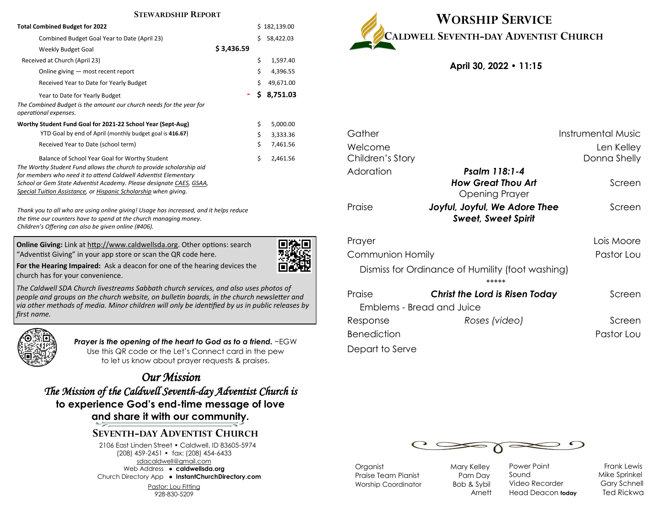#### **STEWARDSHIP REPORT**

| <b>Total Combined Budget for 2022</b>                                                        |            |    | \$182,139.00 |
|----------------------------------------------------------------------------------------------|------------|----|--------------|
| Combined Budget Goal Year to Date (April 23)                                                 |            | Ś. | 58,422.03    |
| Weekly Budget Goal                                                                           | \$3,436.59 |    |              |
| Received at Church (April 23)                                                                |            | \$ | 1,597.40     |
| Online giving – most recent report                                                           |            | \$ | 4,396.55     |
| Received Year to Date for Yearly Budget                                                      |            | \$ | 49,671.00    |
| Year to Date for Yearly Budget                                                               |            | Ś. | 8,751.03     |
| The Combined Budget is the amount our church needs for the year for<br>operational expenses. |            |    |              |
| Worthy Student Fund Goal for 2021-22 School Year (Sept-Aug)                                  |            | \$ | 5,000.00     |
| YTD Goal by end of April (monthly budget goal is 416.67)                                     |            | \$ | 3,333.36     |
| Received Year to Date (school term)                                                          |            | Ś  | 7,461.56     |
| Balance of School Year Goal for Worthy Student                                               |            | \$ | 2,461.56     |
| The Worthy Student Fund allows the church to provide scholarship aid                         |            |    |              |
| for members who need it to attend Caldwell Adventist Elementary                              |            |    |              |
| School or Gem State Adventist Academy. Please designate CAES, GSAA,                          |            |    |              |
| Special Tuition Assistance, or Hispanic Scholarship when giving.                             |            |    |              |

*Thank you to all who are using online giving! Usage has increased, and it helps reduce the time our counters have to spend at the church managing money. Children's Offering can also be given online (#406).*

**Online Giving:** Link at http://www.caldwellsda.org. Other options: search "Adventist Giving" in your app store or scan the QR code here.



**For the Hearing Impaired:** Ask a deacon for one of the hearing devices the church has for your convenience.

*The Caldwell SDA Church livestreams Sabbath church services, and also uses photos of people and groups on the church website, on bulletin boards, in the church newsletter and via other methods of media. Minor children will only be identified by us in public releases by first name.*



*Prayer is the opening of the heart to God as to a friend.* ~EGW Use this QR code or the Let's Connect card in the pew to let us know about prayer requests & praises.

*Our Mission The Mission of the Caldwell Seventh-day Adventist Church is*  **to experience God's end-time message of love and share it with our community.**

## **SEVENTH-DAY ADVENTIST CHURCH**

2106 East Linden Street • Caldwell, ID 83605-5974 (208) 459-2451 • fax: (208) 454-6433 sdacaldwell@gmail.com Web Address ● **caldwellsda.org**  Church Directory App ● **InstantChurchDirectory.com**

Pastor: Lou Fitting 928-830-5209



**April 30, 2022 • 11:15**

| Gather                           | <b>Instrumental Music</b>                                   |              |  |  |  |
|----------------------------------|-------------------------------------------------------------|--------------|--|--|--|
| Welcome                          | Len Kelley                                                  |              |  |  |  |
| Children's Story                 |                                                             | Donna Shelly |  |  |  |
| Adoration                        | Psalm 118:1-4                                               |              |  |  |  |
|                                  | <b>How Great Thou Art</b><br>Opening Prayer                 | Screen       |  |  |  |
| Praise                           | Joyful, Joyful, We Adore Thee<br><b>Sweet, Sweet Spirit</b> | Screen       |  |  |  |
| Prayer                           |                                                             | Lois Moore   |  |  |  |
| Communion Homily                 |                                                             | Pastor Lou   |  |  |  |
|                                  | Dismiss for Ordinance of Humility (foot washing)<br>*****   |              |  |  |  |
| Praise                           | <b>Christ the Lord is Risen Today</b>                       | Screen       |  |  |  |
| <b>Emblems - Bread and Juice</b> |                                                             |              |  |  |  |
| Response                         | Roses (video)                                               | Screen       |  |  |  |
| <b>Benediction</b>               |                                                             | Pastor Lou   |  |  |  |
|                                  |                                                             |              |  |  |  |

Depart to Serve



Organist Mary Kelley Praise Team Pianist **Pam Day** Worship Coordinator Bob & Sybil

Arnett

Power Point Frank Lewis Sound Mike Sprinkel Video Recorder Gary Schnell Head Deacon **today** Ted Rickwa